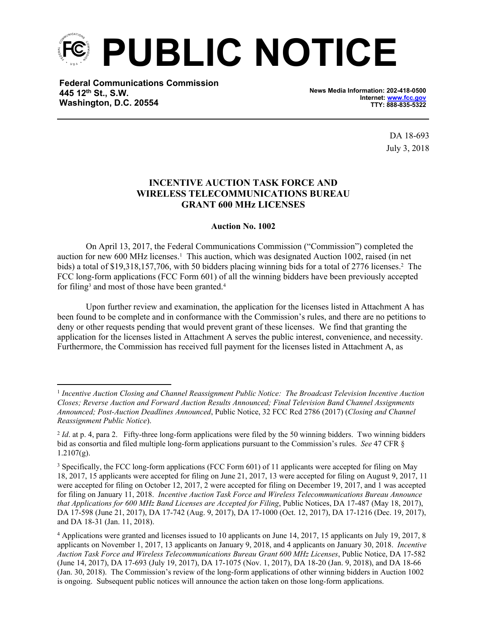

**Federal Communications Commission 445 12th St., S.W. Washington, D.C. 20554**

**News Media Information: 202-418-0500 Internet: [www.fcc.gov](file:///C:/Users/craig.bomberger/AppData/Local/Microsoft/Windows/Temporary%20Internet%20Files/Content.Outlook/BCL5QM18/www.fcc.gov) TTY: 888-835-5322**

> DA 18-693 July 3, 2018

## **INCENTIVE AUCTION TASK FORCE AND WIRELESS TELECOMMUNICATIONS BUREAU GRANT 600 MHz LICENSES**

## **Auction No. 1002**

On April 13, 2017, the Federal Communications Commission ("Commission") completed the auction for new 600 MHz licenses.<sup>1</sup> This auction, which was designated Auction 1002, raised (in net bids) a total of \$19,318,157,706, with 50 bidders placing winning bids for a total of 2776 licenses.<sup>2</sup> The FCC long-form applications (FCC Form 601) of all the winning bidders have been previously accepted for filing<sup>3</sup> and most of those have been granted.<sup>4</sup>

Upon further review and examination, the application for the licenses listed in Attachment A has been found to be complete and in conformance with the Commission's rules, and there are no petitions to deny or other requests pending that would prevent grant of these licenses. We find that granting the application for the licenses listed in Attachment A serves the public interest, convenience, and necessity. Furthermore, the Commission has received full payment for the licenses listed in Attachment A, as

<sup>1</sup> *Incentive Auction Closing and Channel Reassignment Public Notice: The Broadcast Television Incentive Auction Closes; Reverse Auction and Forward Auction Results Announced; Final Television Band Channel Assignments Announced; Post-Auction Deadlines Announced*, Public Notice, 32 FCC Rcd 2786 (2017) (*Closing and Channel Reassignment Public Notice*).

<sup>&</sup>lt;sup>2</sup> *Id.* at p. 4, para 2. Fifty-three long-form applications were filed by the 50 winning bidders. Two winning bidders bid as consortia and filed multiple long-form applications pursuant to the Commission's rules. *See* 47 CFR §  $1.2107(g)$ .

<sup>3</sup> Specifically, the FCC long-form applications (FCC Form 601) of 11 applicants were accepted for filing on May 18, 2017, 15 applicants were accepted for filing on June 21, 2017, 13 were accepted for filing on August 9, 2017, 11 were accepted for filing on October 12, 2017, 2 were accepted for filing on December 19, 2017, and 1 was accepted for filing on January 11, 2018. *Incentive Auction Task Force and Wireless Telecommunications Bureau Announce that Applications for 600 MHz Band Licenses are Accepted for Filing*, Public Notices, DA 17-487 (May 18, 2017), DA 17-598 (June 21, 2017), DA 17-742 (Aug. 9, 2017), DA 17-1000 (Oct. 12, 2017), DA 17-1216 (Dec. 19, 2017), and DA 18-31 (Jan. 11, 2018).

<sup>4</sup> Applications were granted and licenses issued to 10 applicants on June 14, 2017, 15 applicants on July 19, 2017, 8 applicants on November 1, 2017, 13 applicants on January 9, 2018, and 4 applicants on January 30, 2018. *Incentive Auction Task Force and Wireless Telecommunications Bureau Grant 600 MHz Licenses*, Public Notice, DA 17-582 (June 14, 2017), DA 17-693 (July 19, 2017), DA 17-1075 (Nov. 1, 2017), DA 18-20 (Jan. 9, 2018), and DA 18-66 (Jan. 30, 2018). The Commission's review of the long-form applications of other winning bidders in Auction 1002 is ongoing. Subsequent public notices will announce the action taken on those long-form applications.